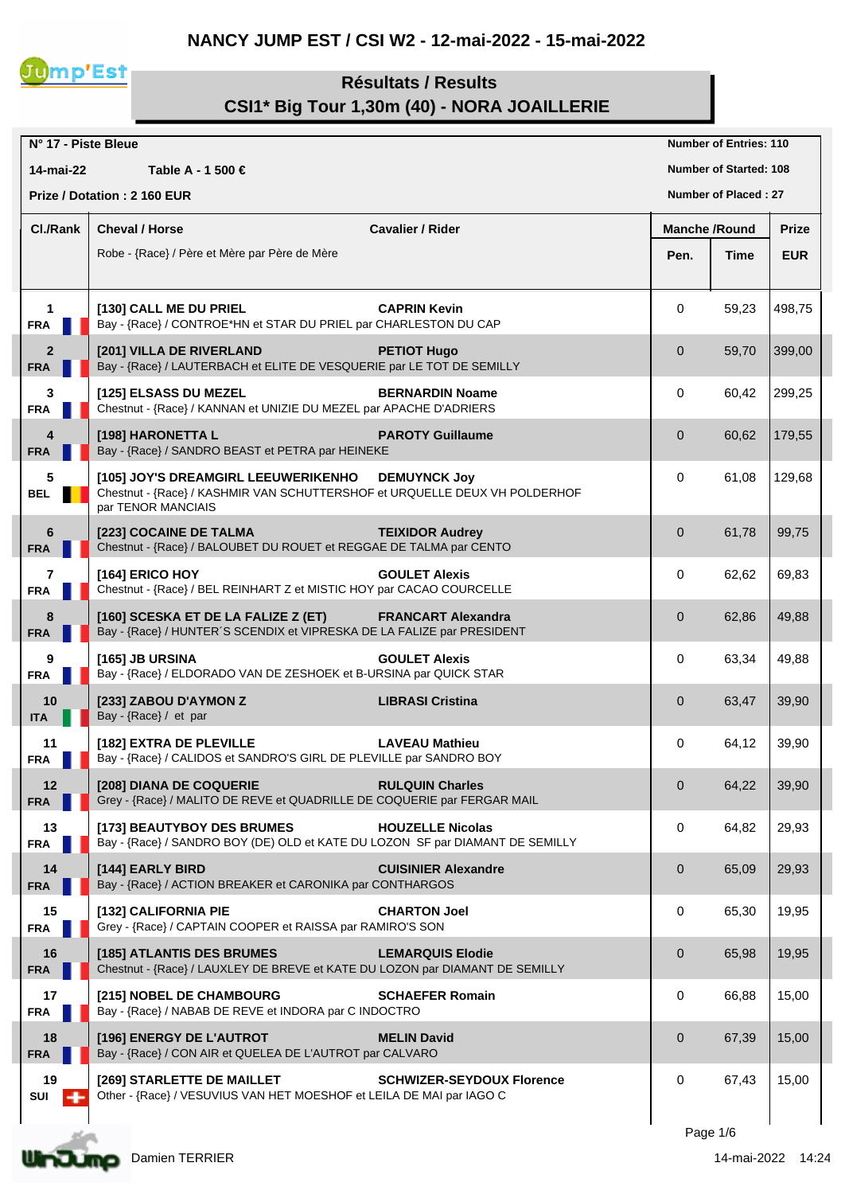## **NANCY JUMP EST / CSI W2 - 12-mai-2022 - 15-mai-2022**



## **Résultats / Results CSI1\* Big Tour 1,30m (40) - NORA JOAILLERIE**

| N° 17 - Piste Bleue          |                                                                                                                                                                |                | <b>Number of Entries: 110</b> |              |
|------------------------------|----------------------------------------------------------------------------------------------------------------------------------------------------------------|----------------|-------------------------------|--------------|
| 14-mai-22                    | Table A - 1 500 €                                                                                                                                              |                | <b>Number of Started: 108</b> |              |
|                              | Prize / Dotation: 2 160 EUR                                                                                                                                    |                | <b>Number of Placed: 27</b>   |              |
| Cl./Rank                     | <b>Cheval / Horse</b><br><b>Cavalier / Rider</b>                                                                                                               |                | <b>Manche /Round</b>          | <b>Prize</b> |
|                              | Robe - {Race} / Père et Mère par Père de Mère                                                                                                                  | Pen.           | Time                          | <b>EUR</b>   |
|                              |                                                                                                                                                                |                |                               |              |
| $\mathbf{1}$<br><b>FRA</b>   | <b>CAPRIN Kevin</b><br>[130] CALL ME DU PRIEL<br>Bay - {Race} / CONTROE*HN et STAR DU PRIEL par CHARLESTON DU CAP                                              | 0              | 59,23                         | 498,75       |
| $\overline{2}$<br><b>FRA</b> | [201] VILLA DE RIVERLAND<br><b>PETIOT Hugo</b><br>Bay - {Race} / LAUTERBACH et ELITE DE VESQUERIE par LE TOT DE SEMILLY                                        | $\mathbf{0}$   | 59,70                         | 399,00       |
| 3<br><b>FRA</b>              | <b>BERNARDIN Noame</b><br>[125] ELSASS DU MEZEL<br>Chestnut - {Race} / KANNAN et UNIZIE DU MEZEL par APACHE D'ADRIERS                                          | 0              | 60,42                         | 299,25       |
| 4<br><b>FRA</b>              | [198] HARONETTA L<br><b>PAROTY Guillaume</b><br>Bay - {Race} / SANDRO BEAST et PETRA par HEINEKE                                                               | $\mathbf 0$    | 60,62                         | 179,55       |
| 5<br><b>BEL</b>              | [105] JOY'S DREAMGIRL LEEUWERIKENHO<br><b>DEMUYNCK Joy</b><br>Chestnut - {Race} / KASHMIR VAN SCHUTTERSHOF et URQUELLE DEUX VH POLDERHOF<br>par TENOR MANCIAIS | 0              | 61,08                         | 129,68       |
| 6<br><b>FRA</b>              | [223] COCAINE DE TALMA<br><b>TEIXIDOR Audrey</b><br>Chestnut - {Race} / BALOUBET DU ROUET et REGGAE DE TALMA par CENTO                                         | $\overline{0}$ | 61,78                         | 99,75        |
| $\overline{7}$<br><b>FRA</b> | [164] ERICO HOY<br><b>GOULET Alexis</b><br>Chestnut - {Race} / BEL REINHART Z et MISTIC HOY par CACAO COURCELLE                                                | 0              | 62,62                         | 69,83        |
| 8<br><b>FRA</b>              | <b>FRANCART Alexandra</b><br>[160] SCESKA ET DE LA FALIZE Z (ET)<br>Bay - {Race} / HUNTER'S SCENDIX et VIPRESKA DE LA FALIZE par PRESIDENT                     | $\overline{0}$ | 62,86                         | 49,88        |
| 9<br><b>FRA</b>              | <b>GOULET Alexis</b><br>[165] JB URSINA<br>Bay - {Race} / ELDORADO VAN DE ZESHOEK et B-URSINA par QUICK STAR                                                   | 0              | 63,34                         | 49,88        |
| 10<br><b>ITA</b>             | <b>LIBRASI Cristina</b><br>[233] ZABOU D'AYMON Z<br>Bay - {Race} / et par                                                                                      | $\overline{0}$ | 63,47                         | 39,90        |
| 11<br><b>FRA</b>             | [182] EXTRA DE PLEVILLE<br><b>LAVEAU Mathieu</b><br>Bay - {Race} / CALIDOS et SANDRO'S GIRL DE PLEVILLE par SANDRO BOY                                         | 0              | 64,12                         | 39,90        |
| 12<br><b>FRA</b>             | [208] DIANA DE COQUERIE<br><b>RULQUIN Charles</b><br>Grey - {Race} / MALITO DE REVE et QUADRILLE DE COQUERIE par FERGAR MAIL                                   | $\mathbf{0}$   | 64,22                         | 39,90        |
| 13<br><b>FRA</b>             | [173] BEAUTYBOY DES BRUMES<br><b>HOUZELLE Nicolas</b><br>Bay - {Race} / SANDRO BOY (DE) OLD et KATE DU LOZON SF par DIAMANT DE SEMILLY                         | 0              | 64,82                         | 29,93        |
| 14<br><b>FRA</b>             | [144] EARLY BIRD<br><b>CUISINIER Alexandre</b><br>Bay - {Race} / ACTION BREAKER et CARONIKA par CONTHARGOS                                                     | $\mathbf{0}$   | 65,09                         | 29,93        |
| 15<br><b>FRA</b>             | [132] CALIFORNIA PIE<br><b>CHARTON Joel</b><br>Grey - {Race} / CAPTAIN COOPER et RAISSA par RAMIRO'S SON                                                       | 0              | 65,30                         | 19,95        |
| 16<br><b>FRA</b>             | [185] ATLANTIS DES BRUMES<br><b>LEMARQUIS Elodie</b><br>Chestnut - {Race} / LAUXLEY DE BREVE et KATE DU LOZON par DIAMANT DE SEMILLY                           | $\mathbf 0$    | 65,98                         | 19,95        |
| 17<br><b>FRA</b>             | [215] NOBEL DE CHAMBOURG<br><b>SCHAEFER Romain</b><br>Bay - {Race} / NABAB DE REVE et INDORA par C INDOCTRO                                                    | 0              | 66,88                         | 15,00        |
| 18<br><b>FRA</b>             | [196] ENERGY DE L'AUTROT<br><b>MELIN David</b><br>Bay - {Race} / CON AIR et QUELEA DE L'AUTROT par CALVARO                                                     | $\mathbf{0}$   | 67,39                         | 15,00        |
| 19<br>SUI                    | [269] STARLETTE DE MAILLET<br><b>SCHWIZER-SEYDOUX Florence</b><br>Other - {Race} / VESUVIUS VAN HET MOESHOF et LEILA DE MAI par IAGO C                         | 0              | 67,43                         | 15,00        |

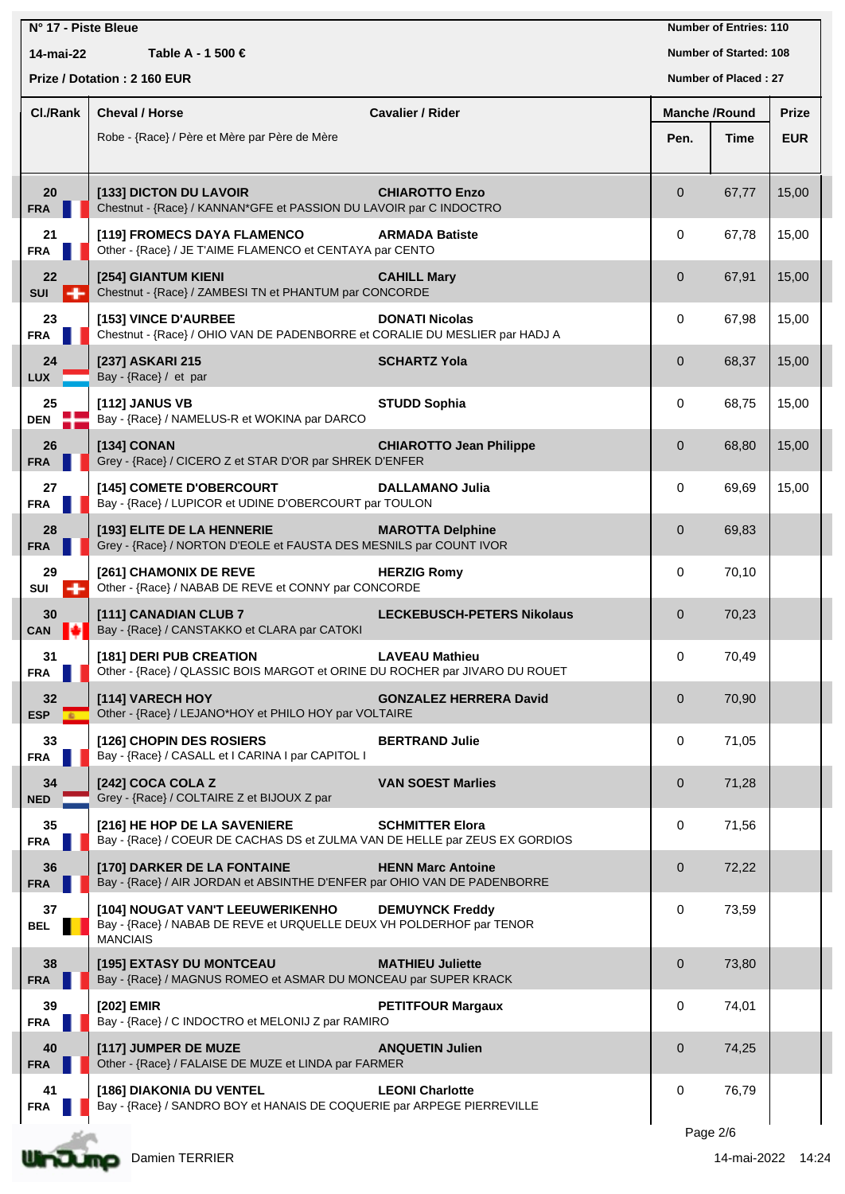| N° 17 - Piste Bleue |                                                                                                                             |                                   |                      | <b>Number of Entries: 110</b> |              |
|---------------------|-----------------------------------------------------------------------------------------------------------------------------|-----------------------------------|----------------------|-------------------------------|--------------|
| 14-mai-22           | Table A - 1 500 €                                                                                                           |                                   |                      | <b>Number of Started: 108</b> |              |
|                     | Prize / Dotation: 2 160 EUR                                                                                                 |                                   |                      | Number of Placed: 27          |              |
| <b>CI./Rank</b>     | <b>Cheval / Horse</b>                                                                                                       | <b>Cavalier / Rider</b>           | <b>Manche /Round</b> |                               | <b>Prize</b> |
|                     | Robe - {Race} / Père et Mère par Père de Mère                                                                               |                                   | Pen.                 | Time                          | <b>EUR</b>   |
|                     |                                                                                                                             |                                   |                      |                               |              |
| 20<br><b>FRA</b>    | [133] DICTON DU LAVOIR<br>Chestnut - {Race} / KANNAN*GFE et PASSION DU LAVOIR par C INDOCTRO                                | <b>CHIAROTTO Enzo</b>             | $\overline{0}$       | 67,77                         | 15,00        |
| 21<br><b>FRA</b>    | [119] FROMECS DAYA FLAMENCO<br>Other - {Race} / JE T'AIME FLAMENCO et CENTAYA par CENTO                                     | <b>ARMADA Batiste</b>             | 0                    | 67,78                         | 15,00        |
| 22<br><b>SUI</b>    | [254] GIANTUM KIENI<br>Chestnut - {Race} / ZAMBESI TN et PHANTUM par CONCORDE                                               | <b>CAHILL Mary</b>                | $\mathbf{0}$         | 67,91                         | 15,00        |
| 23<br><b>FRA</b>    | [153] VINCE D'AURBEE<br>Chestnut - {Race} / OHIO VAN DE PADENBORRE et CORALIE DU MESLIER par HADJ A                         | <b>DONATI Nicolas</b>             | 0                    | 67,98                         | 15,00        |
| 24<br><b>LUX</b>    | [237] ASKARI 215<br>Bay - {Race} / et par                                                                                   | <b>SCHARTZ Yola</b>               | $\mathbf{0}$         | 68,37                         | 15,00        |
| 25<br><b>DEN</b>    | [112] JANUS VB<br>Bay - {Race} / NAMELUS-R et WOKINA par DARCO                                                              | <b>STUDD Sophia</b>               | 0                    | 68,75                         | 15,00        |
| 26<br><b>FRA</b>    | [134] CONAN<br>Grey - {Race} / CICERO Z et STAR D'OR par SHREK D'ENFER                                                      | <b>CHIAROTTO Jean Philippe</b>    | $\mathbf{0}$         | 68,80                         | 15,00        |
| 27<br><b>FRA</b>    | [145] COMETE D'OBERCOURT<br>Bay - {Race} / LUPICOR et UDINE D'OBERCOURT par TOULON                                          | <b>DALLAMANO Julia</b>            | 0                    | 69,69                         | 15,00        |
| 28<br><b>FRA</b>    | [193] ELITE DE LA HENNERIE<br>Grey - {Race} / NORTON D'EOLE et FAUSTA DES MESNILS par COUNT IVOR                            | <b>MAROTTA Delphine</b>           | $\mathbf{0}$         | 69,83                         |              |
| 29<br>SUI           | [261] CHAMONIX DE REVE<br>Other - {Race} / NABAB DE REVE et CONNY par CONCORDE                                              | <b>HERZIG Romy</b>                | 0                    | 70,10                         |              |
| 30<br><b>CAN</b>    | [111] CANADIAN CLUB 7<br>Bay - {Race} / CANSTAKKO et CLARA par CATOKI                                                       | <b>LECKEBUSCH-PETERS Nikolaus</b> | $\mathbf 0$          | 70,23                         |              |
| 31<br><b>FRA</b>    | [181] DERI PUB CREATION<br>Other - {Race} / QLASSIC BOIS MARGOT et ORINE DU ROCHER par JIVARO DU ROUET                      | <b>LAVEAU Mathieu</b>             | 0                    | 70,49                         |              |
| 32<br><b>ESP</b>    | [114] VARECH HOY<br>Other - {Race} / LEJANO*HOY et PHILO HOY par VOLTAIRE                                                   | <b>GONZALEZ HERRERA David</b>     | $\mathbf 0$          | 70,90                         |              |
| 33<br><b>FRA</b>    | [126] CHOPIN DES ROSIERS<br>Bay - {Race} / CASALL et I CARINA I par CAPITOL I                                               | <b>BERTRAND Julie</b>             | 0                    | 71,05                         |              |
| 34<br><b>NED</b>    | [242] COCA COLA Z<br>Grey - {Race} / COLTAIRE Z et BIJOUX Z par                                                             | <b>VAN SOEST Marlies</b>          | $\mathbf 0$          | 71,28                         |              |
| 35<br><b>FRA</b>    | [216] HE HOP DE LA SAVENIERE<br>Bay - {Race} / COEUR DE CACHAS DS et ZULMA VAN DE HELLE par ZEUS EX GORDIOS                 | <b>SCHMITTER Elora</b>            | 0                    | 71,56                         |              |
| 36<br><b>FRA</b>    | [170] DARKER DE LA FONTAINE<br>Bay - {Race} / AIR JORDAN et ABSINTHE D'ENFER par OHIO VAN DE PADENBORRE                     | <b>HENN Marc Antoine</b>          | $\mathbf 0$          | 72,22                         |              |
| 37<br><b>BEL</b>    | [104] NOUGAT VAN'T LEEUWERIKENHO<br>Bay - {Race} / NABAB DE REVE et URQUELLE DEUX VH POLDERHOF par TENOR<br><b>MANCIAIS</b> | <b>DEMUYNCK Freddy</b>            | 0                    | 73,59                         |              |
| 38<br><b>FRA</b>    | [195] EXTASY DU MONTCEAU<br>Bay - {Race} / MAGNUS ROMEO et ASMAR DU MONCEAU par SUPER KRACK                                 | <b>MATHIEU Juliette</b>           | $\mathbf 0$          | 73,80                         |              |
| 39<br><b>FRA</b>    | [202] EMIR<br>Bay - {Race} / C INDOCTRO et MELONIJ Z par RAMIRO                                                             | <b>PETITFOUR Margaux</b>          | 0                    | 74,01                         |              |
| 40<br><b>FRA</b>    | [117] JUMPER DE MUZE<br>Other - {Race} / FALAISE DE MUZE et LINDA par FARMER                                                | <b>ANQUETIN Julien</b>            | $\mathbf 0$          | 74,25                         |              |
| 41<br><b>FRA</b>    | [186] DIAKONIA DU VENTEL<br>Bay - {Race} / SANDRO BOY et HANAIS DE COQUERIE par ARPEGE PIERREVILLE                          | <b>LEONI Charlotte</b>            | 0                    | 76,79                         |              |
|                     |                                                                                                                             |                                   |                      |                               |              |

Page 2/6

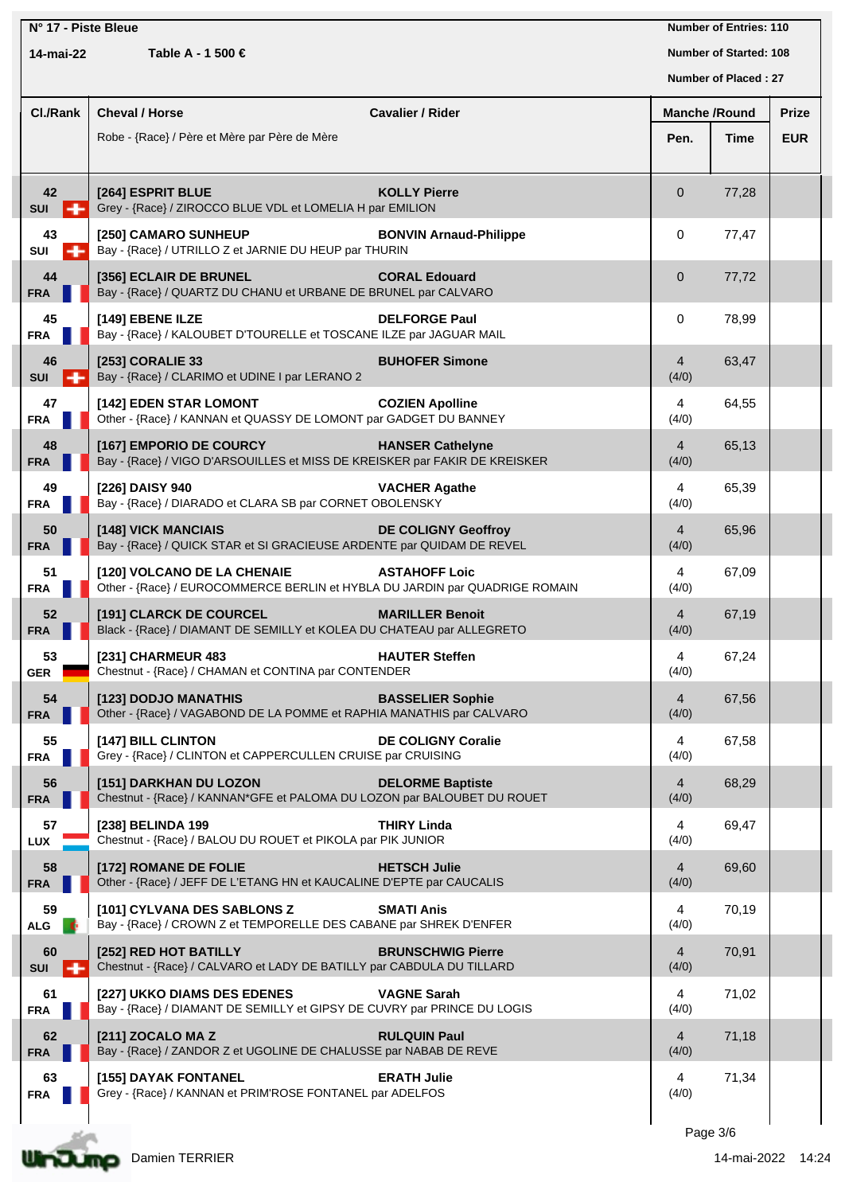| N° 17 - Piste Bleue            |                                                                                                                                            |                               |                               | <b>Number of Entries: 110</b> |              |
|--------------------------------|--------------------------------------------------------------------------------------------------------------------------------------------|-------------------------------|-------------------------------|-------------------------------|--------------|
| Table A - 1 500 €<br>14-mai-22 |                                                                                                                                            |                               | <b>Number of Started: 108</b> |                               |              |
|                                |                                                                                                                                            |                               |                               | Number of Placed: 27          |              |
| Cl./Rank                       | <b>Cheval / Horse</b>                                                                                                                      | <b>Cavalier / Rider</b>       | <b>Manche /Round</b>          |                               | <b>Prize</b> |
|                                | Robe - {Race} / Père et Mère par Père de Mère                                                                                              |                               | Pen.                          | Time                          | <b>EUR</b>   |
| 42                             | [264] ESPRIT BLUE                                                                                                                          | <b>KOLLY Pierre</b>           | $\overline{0}$                | 77,28                         |              |
| <b>SUI</b><br>н<br>43          | Grey - {Race} / ZIROCCO BLUE VDL et LOMELIA H par EMILION<br>[250] CAMARO SUNHEUP<br>Bay - {Race} / UTRILLO Z et JARNIE DU HEUP par THURIN | <b>BONVIN Arnaud-Philippe</b> | $\mathbf 0$                   | 77,47                         |              |
| SUI<br>÷<br>44<br><b>FRA</b>   | [356] ECLAIR DE BRUNEL<br>Bay - {Race} / QUARTZ DU CHANU et URBANE DE BRUNEL par CALVARO                                                   | <b>CORAL Edouard</b>          | $\overline{0}$                | 77,72                         |              |
| 45<br><b>FRA</b>               | [149] EBENE ILZE<br>Bay - {Race} / KALOUBET D'TOURELLE et TOSCANE ILZE par JAGUAR MAIL                                                     | <b>DELFORGE Paul</b>          | $\mathbf 0$                   | 78,99                         |              |
| 46<br><b>SUI</b>               | [253] CORALIE 33<br>Bay - {Race} / CLARIMO et UDINE I par LERANO 2                                                                         | <b>BUHOFER Simone</b>         | $\overline{4}$<br>(4/0)       | 63,47                         |              |
| 47<br><b>FRA</b>               | [142] EDEN STAR LOMONT<br>Other - {Race} / KANNAN et QUASSY DE LOMONT par GADGET DU BANNEY                                                 | <b>COZIEN Apolline</b>        | 4<br>(4/0)                    | 64,55                         |              |
| 48<br><b>FRA</b>               | [167] EMPORIO DE COURCY<br>Bay - {Race} / VIGO D'ARSOUILLES et MISS DE KREISKER par FAKIR DE KREISKER                                      | <b>HANSER Cathelyne</b>       | $\overline{4}$<br>(4/0)       | 65,13                         |              |
| 49<br><b>FRA</b>               | [226] DAISY 940<br>Bay - {Race} / DIARADO et CLARA SB par CORNET OBOLENSKY                                                                 | <b>VACHER Agathe</b>          | 4<br>(4/0)                    | 65,39                         |              |
| 50<br><b>FRA</b>               | [148] VICK MANCIAIS<br>Bay - {Race} / QUICK STAR et SI GRACIEUSE ARDENTE par QUIDAM DE REVEL                                               | <b>DE COLIGNY Geoffroy</b>    | $\overline{4}$<br>(4/0)       | 65,96                         |              |
| 51<br><b>FRA</b>               | [120] VOLCANO DE LA CHENAIE<br>Other - {Race} / EUROCOMMERCE BERLIN et HYBLA DU JARDIN par QUADRIGE ROMAIN                                 | <b>ASTAHOFF Loic</b>          | 4<br>(4/0)                    | 67,09                         |              |
| 52<br><b>FRA</b>               | [191] CLARCK DE COURCEL<br>Black - {Race} / DIAMANT DE SEMILLY et KOLEA DU CHATEAU par ALLEGRETO                                           | <b>MARILLER Benoit</b>        | $\overline{4}$<br>(4/0)       | 67,19                         |              |
| 53<br><b>GER</b>               | [231] CHARMEUR 483<br>Chestnut - {Race} / CHAMAN et CONTINA par CONTENDER                                                                  | <b>HAUTER Steffen</b>         | 4<br>(4/0)                    | 67,24                         |              |
| 54<br><b>FRA</b>               | [123] DODJO MANATHIS<br>Other - {Race} / VAGABOND DE LA POMME et RAPHIA MANATHIS par CALVARO                                               | <b>BASSELIER Sophie</b>       | $\overline{4}$<br>(4/0)       | 67,56                         |              |
| 55<br><b>FRA</b>               | [147] BILL CLINTON<br>Grey - {Race} / CLINTON et CAPPERCULLEN CRUISE par CRUISING                                                          | <b>DE COLIGNY Coralie</b>     | $\overline{4}$<br>(4/0)       | 67,58                         |              |
| 56<br><b>FRA</b>               | [151] DARKHAN DU LOZON<br>Chestnut - {Race} / KANNAN*GFE et PALOMA DU LOZON par BALOUBET DU ROUET                                          | <b>DELORME Baptiste</b>       | $\overline{4}$<br>(4/0)       | 68,29                         |              |
| 57<br>LUX                      | [238] BELINDA 199<br>Chestnut - {Race} / BALOU DU ROUET et PIKOLA par PIK JUNIOR                                                           | <b>THIRY Linda</b>            | 4<br>(4/0)                    | 69,47                         |              |
| 58<br><b>FRA</b>               | [172] ROMANE DE FOLIE<br>Other - {Race} / JEFF DE L'ETANG HN et KAUCALINE D'EPTE par CAUCALIS                                              | <b>HETSCH Julie</b>           | $\overline{4}$<br>(4/0)       | 69,60                         |              |
| 59<br><b>ALG</b>               | [101] CYLVANA DES SABLONS Z<br>Bay - {Race} / CROWN Z et TEMPORELLE DES CABANE par SHREK D'ENFER                                           | <b>SMATI Anis</b>             | 4<br>(4/0)                    | 70,19                         |              |
| 60<br><b>SUI</b><br>-          | [252] RED HOT BATILLY<br>Chestnut - {Race} / CALVARO et LADY DE BATILLY par CABDULA DU TILLARD                                             | <b>BRUNSCHWIG Pierre</b>      | $\overline{4}$<br>(4/0)       | 70,91                         |              |
| 61<br><b>FRA</b>               | [227] UKKO DIAMS DES EDENES<br>Bay - {Race} / DIAMANT DE SEMILLY et GIPSY DE CUVRY par PRINCE DU LOGIS                                     | <b>VAGNE Sarah</b>            | 4<br>(4/0)                    | 71,02                         |              |
| 62<br><b>FRA</b>               | [211] ZOCALO MA Z<br>Bay - {Race} / ZANDOR Z et UGOLINE DE CHALUSSE par NABAB DE REVE                                                      | <b>RULQUIN Paul</b>           | $\overline{4}$<br>(4/0)       | 71,18                         |              |
| 63<br><b>FRA</b>               | [155] DAYAK FONTANEL<br>Grey - {Race} / KANNAN et PRIM'ROSE FONTANEL par ADELFOS                                                           | <b>ERATH Julie</b>            | 4<br>(4/0)                    | 71,34                         |              |
|                                |                                                                                                                                            |                               |                               |                               |              |

Page 3/6

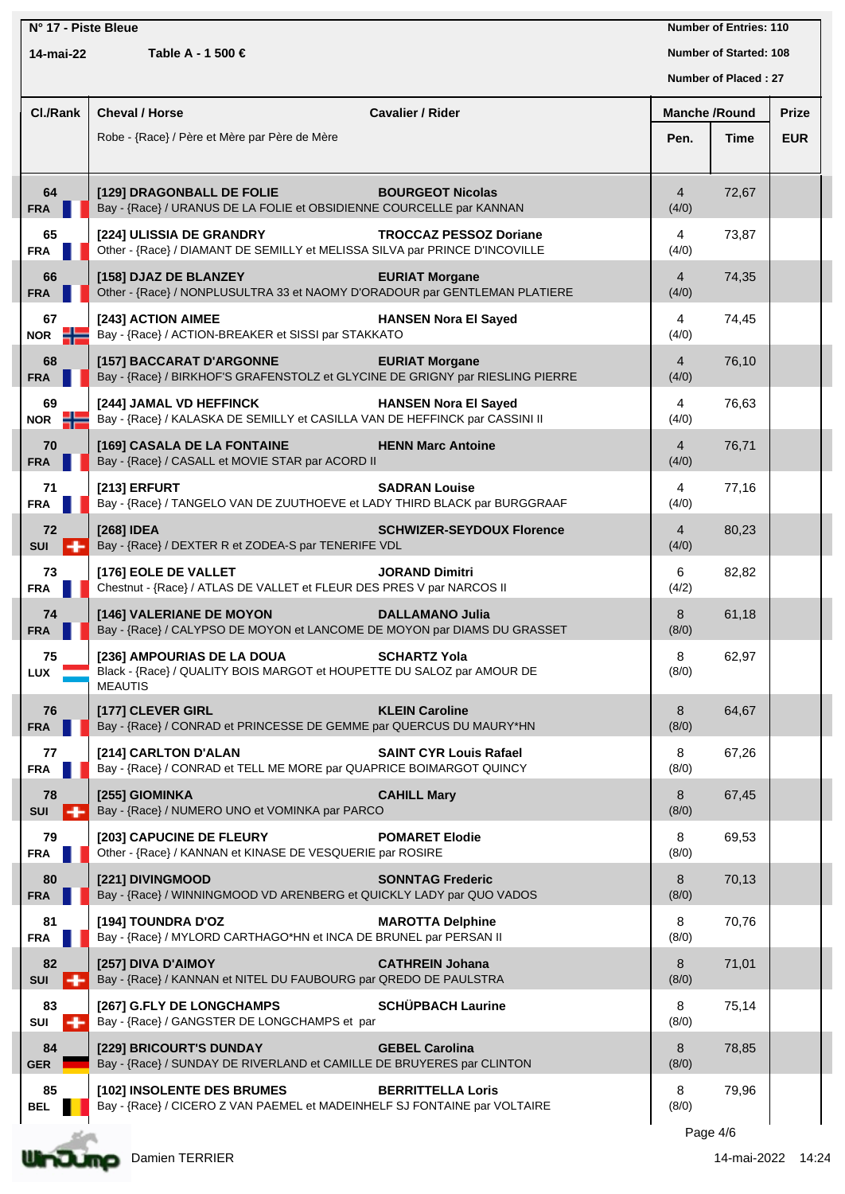|                                |                           | N° 17 - Piste Bleue                                                                                                                           | <b>Number of Entries: 110</b>    |              |
|--------------------------------|---------------------------|-----------------------------------------------------------------------------------------------------------------------------------------------|----------------------------------|--------------|
| Table A - 1 500 €<br>14-mai-22 |                           |                                                                                                                                               | <b>Number of Started: 108</b>    |              |
|                                |                           |                                                                                                                                               | Number of Placed: 27             |              |
|                                | Cl./Rank                  | Cheval / Horse<br><b>Cavalier / Rider</b>                                                                                                     | <b>Manche /Round</b>             | <b>Prize</b> |
|                                |                           | Robe - {Race} / Père et Mère par Père de Mère                                                                                                 | Pen.<br>Time                     | <b>EUR</b>   |
|                                |                           |                                                                                                                                               |                                  |              |
|                                | 64<br><b>FRA</b>          | [129] DRAGONBALL DE FOLIE<br><b>BOURGEOT Nicolas</b><br>Bay - {Race} / URANUS DE LA FOLIE et OBSIDIENNE COURCELLE par KANNAN                  | 72,67<br>$\overline{4}$<br>(4/0) |              |
|                                | 65<br><b>FRA</b>          | [224] ULISSIA DE GRANDRY<br><b>TROCCAZ PESSOZ Doriane</b><br>Other - {Race} / DIAMANT DE SEMILLY et MELISSA SILVA par PRINCE D'INCOVILLE      | 73,87<br>4<br>(4/0)              |              |
|                                | 66<br><b>FRA</b>          | [158] DJAZ DE BLANZEY<br><b>EURIAT Morgane</b><br>Other - {Race} / NONPLUSULTRA 33 et NAOMY D'ORADOUR par GENTLEMAN PLATIERE                  | $\overline{4}$<br>74,35<br>(4/0) |              |
|                                | 67<br>$NOR$ $\frac{1}{2}$ | [243] ACTION AIMEE<br><b>HANSEN Nora El Sayed</b><br>Bay - {Race} / ACTION-BREAKER et SISSI par STAKKATO                                      | 74,45<br>4<br>(4/0)              |              |
|                                | 68<br>FRA                 | [157] BACCARAT D'ARGONNE<br><b>EURIAT Morgane</b><br>Bay - {Race} / BIRKHOF'S GRAFENSTOLZ et GLYCINE DE GRIGNY par RIESLING PIERRE            | $\overline{4}$<br>76,10<br>(4/0) |              |
|                                | 69<br>$NOR$ $\rightarrow$ | <b>HANSEN Nora El Sayed</b><br>[244] JAMAL VD HEFFINCK<br>Bay - {Race} / KALASKA DE SEMILLY et CASILLA VAN DE HEFFINCK par CASSINI II         | 76,63<br>4<br>(4/0)              |              |
|                                | 70<br><b>FRA</b>          | [169] CASALA DE LA FONTAINE<br><b>HENN Marc Antoine</b><br>Bay - {Race} / CASALL et MOVIE STAR par ACORD II                                   | 76,71<br>$\overline{4}$<br>(4/0) |              |
|                                | 71<br><b>FRA</b>          | [213] ERFURT<br><b>SADRAN Louise</b><br>Bay - {Race} / TANGELO VAN DE ZUUTHOEVE et LADY THIRD BLACK par BURGGRAAF                             | 77,16<br>4<br>(4/0)              |              |
|                                | 72<br><b>SUI</b>          | [268] IDEA<br><b>SCHWIZER-SEYDOUX Florence</b><br>Bay - {Race} / DEXTER R et ZODEA-S par TENERIFE VDL                                         | 80,23<br>$\overline{4}$<br>(4/0) |              |
|                                | 73<br><b>FRA</b>          | [176] EOLE DE VALLET<br><b>JORAND Dimitri</b><br>Chestnut - {Race} / ATLAS DE VALLET et FLEUR DES PRES V par NARCOS II                        | 82,82<br>6<br>(4/2)              |              |
|                                | 74<br><b>FRA</b>          | [146] VALERIANE DE MOYON<br><b>DALLAMANO Julia</b><br>Bay - {Race} / CALYPSO DE MOYON et LANCOME DE MOYON par DIAMS DU GRASSET                | 8<br>61,18<br>(8/0)              |              |
|                                | 75<br>LUX                 | [236] AMPOURIAS DE LA DOUA<br><b>SCHARTZ Yola</b><br>Black - {Race} / QUALITY BOIS MARGOT et HOUPETTE DU SALOZ par AMOUR DE<br><b>MEAUTIS</b> | 8<br>62,97<br>(8/0)              |              |
|                                | 76<br><b>FRA</b>          | <b>KLEIN Caroline</b><br>[177] CLEVER GIRL<br>Bay - {Race} / CONRAD et PRINCESSE DE GEMME par QUERCUS DU MAURY*HN                             | 8<br>64,67<br>(8/0)              |              |
|                                | 77<br><b>FRA</b>          | [214] CARLTON D'ALAN<br><b>SAINT CYR Louis Rafael</b><br>Bay - {Race} / CONRAD et TELL ME MORE par QUAPRICE BOIMARGOT QUINCY                  | 67,26<br>8<br>(8/0)              |              |
|                                | 78<br><b>SUI</b>          | [255] GIOMINKA<br><b>CAHILL Mary</b><br>Bay - {Race} / NUMERO UNO et VOMINKA par PARCO                                                        | 8<br>67,45<br>(8/0)              |              |
|                                | 79<br><b>FRA</b>          | [203] CAPUCINE DE FLEURY<br><b>POMARET Elodie</b><br>Other - {Race} / KANNAN et KINASE DE VESQUERIE par ROSIRE                                | 8<br>69,53<br>(8/0)              |              |
|                                | 80<br><b>FRA</b>          | [221] DIVINGMOOD<br><b>SONNTAG Frederic</b><br>Bay - {Race} / WINNINGMOOD VD ARENBERG et QUICKLY LADY par QUO VADOS                           | 8<br>70,13<br>(8/0)              |              |
|                                | 81<br><b>FRA</b>          | [194] TOUNDRA D'OZ<br><b>MAROTTA Delphine</b><br>Bay - {Race} / MYLORD CARTHAGO*HN et INCA DE BRUNEL par PERSAN II                            | 8<br>70,76<br>(8/0)              |              |
|                                | 82<br><b>SUI</b><br>н     | [257] DIVA D'AIMOY<br><b>CATHREIN Johana</b><br>Bay - {Race} / KANNAN et NITEL DU FAUBOURG par QREDO DE PAULSTRA                              | 8<br>71,01<br>(8/0)              |              |
|                                | 83<br>SUI<br>-            | <b>SCHÜPBACH Laurine</b><br>[267] G.FLY DE LONGCHAMPS<br>Bay - {Race} / GANGSTER DE LONGCHAMPS et par                                         | 8<br>75,14<br>(8/0)              |              |
|                                | 84<br><b>GER</b>          | [229] BRICOURT'S DUNDAY<br><b>GEBEL Carolina</b><br>Bay - {Race} / SUNDAY DE RIVERLAND et CAMILLE DE BRUYERES par CLINTON                     | 8<br>78,85<br>(8/0)              |              |
|                                | 85<br><b>BEL</b>          | <b>BERRITTELLA Loris</b><br>[102] INSOLENTE DES BRUMES<br>Bay - {Race} / CICERO Z VAN PAEMEL et MADEINHELF SJ FONTAINE par VOLTAIRE           | 8<br>79,96<br>(8/0)              |              |
|                                |                           |                                                                                                                                               |                                  |              |

Page 4/6



Undump Damien TERRIER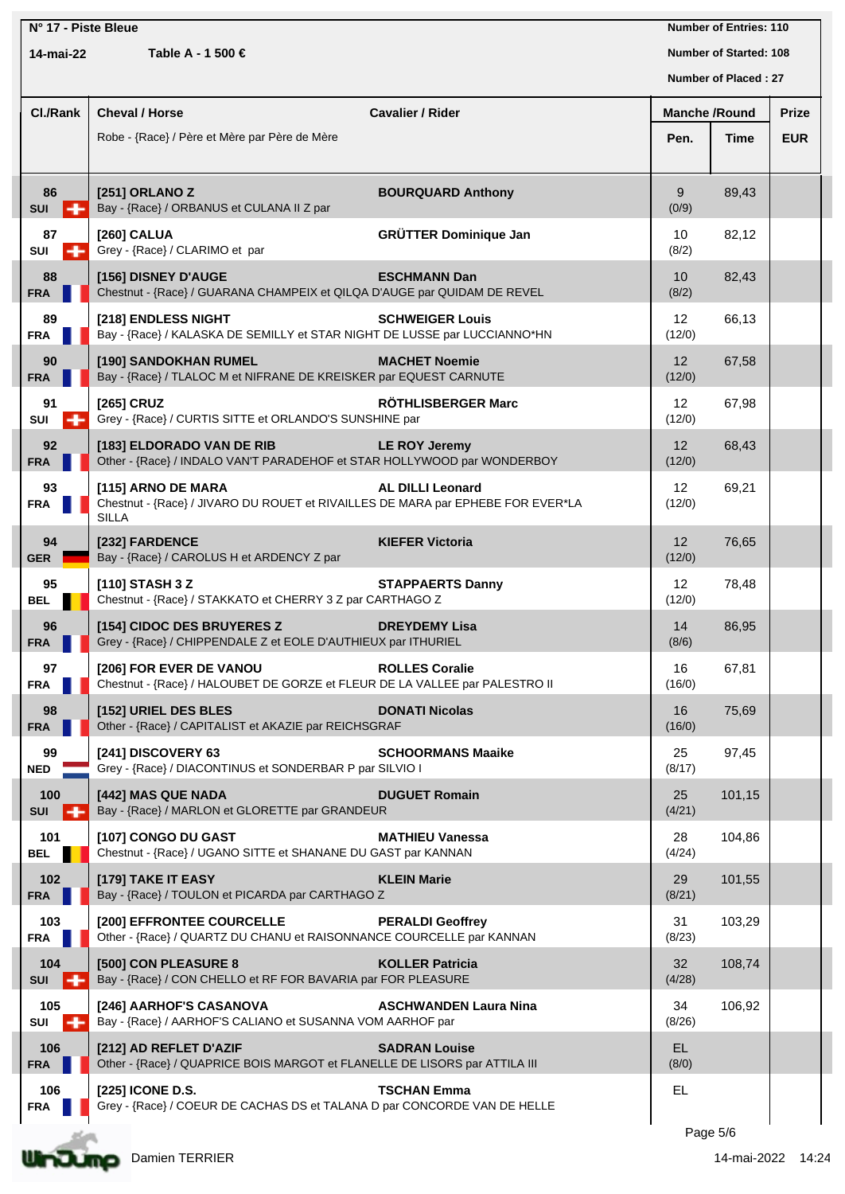| N° 17 - Piste Bleue<br>14-mai-22<br>Table A - 1 500 € |                                                                                                                       |                              | <b>Number of Entries: 110</b><br><b>Number of Started: 108</b><br>Number of Placed: 27 |        |              |  |
|-------------------------------------------------------|-----------------------------------------------------------------------------------------------------------------------|------------------------------|----------------------------------------------------------------------------------------|--------|--------------|--|
| Cl./Rank                                              | <b>Cheval / Horse</b>                                                                                                 | <b>Cavalier / Rider</b>      | <b>Manche /Round</b>                                                                   |        | <b>Prize</b> |  |
|                                                       | Robe - {Race} / Père et Mère par Père de Mère                                                                         |                              | Pen.                                                                                   | Time   | <b>EUR</b>   |  |
| 86<br>$SUI = -$                                       | [251] ORLANO Z<br>Bay - {Race} / ORBANUS et CULANA II Z par                                                           | <b>BOURQUARD Anthony</b>     | 9<br>(0/9)                                                                             | 89,43  |              |  |
| 87<br>SUI<br>- 1                                      | [260] CALUA<br>Grey - {Race} / CLARIMO et par                                                                         | <b>GRÜTTER Dominique Jan</b> | 10<br>(8/2)                                                                            | 82,12  |              |  |
| 88<br><b>FRA</b>                                      | [156] DISNEY D'AUGE<br>Chestnut - {Race} / GUARANA CHAMPEIX et QILQA D'AUGE par QUIDAM DE REVEL                       | <b>ESCHMANN Dan</b>          | 10<br>(8/2)                                                                            | 82,43  |              |  |
| 89<br><b>FRA</b>                                      | [218] ENDLESS NIGHT<br>Bay - {Race} / KALASKA DE SEMILLY et STAR NIGHT DE LUSSE par LUCCIANNO*HN                      | <b>SCHWEIGER Louis</b>       | $12 \overline{ }$<br>(12/0)                                                            | 66,13  |              |  |
| 90<br><b>FRA</b>                                      | [190] SANDOKHAN RUMEL<br>Bay - {Race} / TLALOC M et NIFRANE DE KREISKER par EQUEST CARNUTE                            | <b>MACHET Noemie</b>         | $12 \overline{ }$<br>(12/0)                                                            | 67,58  |              |  |
| 91<br>SUI                                             | [265] CRUZ<br>Grey - {Race} / CURTIS SITTE et ORLANDO'S SUNSHINE par                                                  | RÖTHLISBERGER Marc           | $12 \overline{ }$<br>(12/0)                                                            | 67,98  |              |  |
| 92<br><b>FRA</b>                                      | [183] ELDORADO VAN DE RIB<br>Other - {Race} / INDALO VAN'T PARADEHOF et STAR HOLLYWOOD par WONDERBOY                  | <b>LE ROY Jeremy</b>         | 12<br>(12/0)                                                                           | 68,43  |              |  |
| 93<br><b>FRA</b>                                      | [115] ARNO DE MARA<br>Chestnut - {Race} / JIVARO DU ROUET et RIVAILLES DE MARA par EPHEBE FOR EVER*LA<br><b>SILLA</b> | <b>AL DILLI Leonard</b>      | $12 \overline{ }$<br>(12/0)                                                            | 69,21  |              |  |
| 94<br><b>GER</b>                                      | [232] FARDENCE<br>Bay - {Race} / CAROLUS H et ARDENCY Z par                                                           | <b>KIEFER Victoria</b>       | 12<br>(12/0)                                                                           | 76,65  |              |  |
| 95<br>BEL                                             | [110] STASH 3 Z<br>Chestnut - {Race} / STAKKATO et CHERRY 3 Z par CARTHAGO Z                                          | <b>STAPPAERTS Danny</b>      | $12 \overline{ }$<br>(12/0)                                                            | 78,48  |              |  |
| 96<br><b>FRA</b>                                      | [154] CIDOC DES BRUYERES Z<br>Grey - {Race} / CHIPPENDALE Z et EOLE D'AUTHIEUX par ITHURIEL                           | <b>DREYDEMY Lisa</b>         | 14<br>(8/6)                                                                            | 86,95  |              |  |
| 97<br><b>FRA</b>                                      | [206] FOR EVER DE VANOU<br>Chestnut - {Race} / HALOUBET DE GORZE et FLEUR DE LA VALLEE par PALESTRO II                | <b>ROLLES Coralie</b>        | 16<br>(16/0)                                                                           | 67,81  |              |  |
| 98<br><b>FRA</b>                                      | [152] URIEL DES BLES<br>Other - {Race} / CAPITALIST et AKAZIE par REICHSGRAF                                          | <b>DONATI Nicolas</b>        | 16<br>(16/0)                                                                           | 75,69  |              |  |
| 99<br><b>NED</b>                                      | [241] DISCOVERY 63<br>Grey - {Race} / DIACONTINUS et SONDERBAR P par SILVIO I                                         | <b>SCHOORMANS Maaike</b>     | 25<br>(8/17)                                                                           | 97,45  |              |  |
| 100<br><b>SUI</b>                                     | [442] MAS QUE NADA<br>Bay - {Race} / MARLON et GLORETTE par GRANDEUR                                                  | <b>DUGUET Romain</b>         | 25<br>(4/21)                                                                           | 101,15 |              |  |
| 101<br><b>BEL</b>                                     | [107] CONGO DU GAST<br>Chestnut - {Race} / UGANO SITTE et SHANANE DU GAST par KANNAN                                  | <b>MATHIEU Vanessa</b>       | 28<br>(4/24)                                                                           | 104,86 |              |  |
| 102<br><b>FRA</b>                                     | [179] TAKE IT EASY<br>Bay - {Race} / TOULON et PICARDA par CARTHAGO Z                                                 | <b>KLEIN Marie</b>           | 29<br>(8/21)                                                                           | 101,55 |              |  |
| 103<br><b>FRA</b>                                     | [200] EFFRONTEE COURCELLE<br>Other - {Race} / QUARTZ DU CHANU et RAISONNANCE COURCELLE par KANNAN                     | <b>PERALDI Geoffrey</b>      | 31<br>(8/23)                                                                           | 103,29 |              |  |
| 104<br><b>SUI</b><br>. .                              | [500] CON PLEASURE 8<br>Bay - {Race} / CON CHELLO et RF FOR BAVARIA par FOR PLEASURE                                  | <b>KOLLER Patricia</b>       | 32 <sup>2</sup><br>(4/28)                                                              | 108,74 |              |  |
| 105<br>SUI<br>-                                       | [246] AARHOF'S CASANOVA<br>Bay - {Race} / AARHOF'S CALIANO et SUSANNA VOM AARHOF par                                  | <b>ASCHWANDEN Laura Nina</b> | 34<br>(8/26)                                                                           | 106,92 |              |  |
| 106<br><b>FRA</b>                                     | [212] AD REFLET D'AZIF<br>Other - {Race} / QUAPRICE BOIS MARGOT et FLANELLE DE LISORS par ATTILA III                  | <b>SADRAN Louise</b>         | EL.<br>(8/0)                                                                           |        |              |  |
| 106<br><b>FRA</b>                                     | [225] ICONE D.S.<br>Grey - {Race} / COEUR DE CACHAS DS et TALANA D par CONCORDE VAN DE HELLE                          | <b>TSCHAN Emma</b>           | EL.                                                                                    |        |              |  |
|                                                       |                                                                                                                       |                              |                                                                                        |        |              |  |

Page 5/6